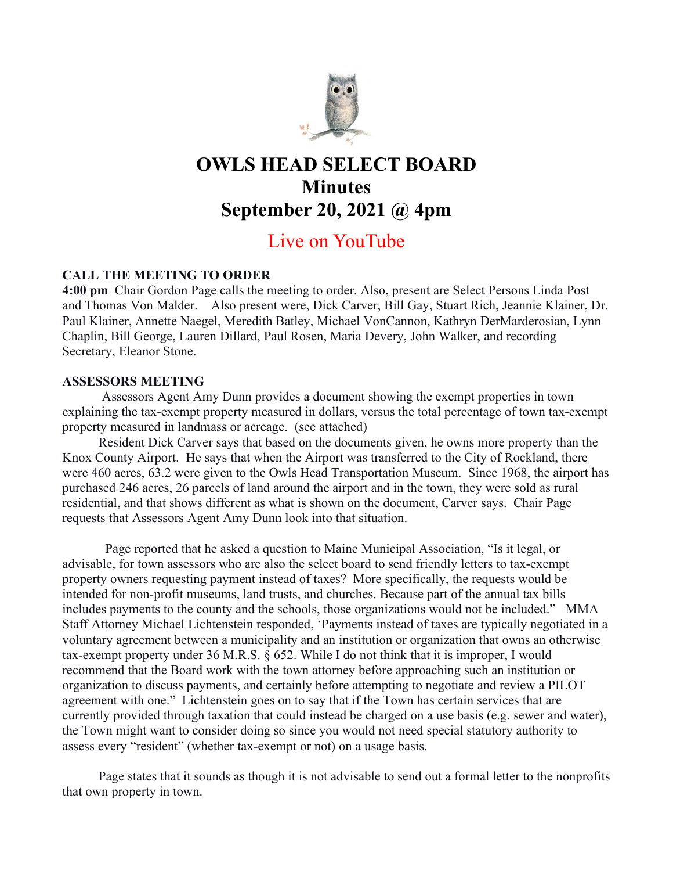

# OWLS HEAD SELECT BOARD **Minutes** September 20, 2021 @ 4pm

# Live on YouTube

# CALL THE MEETING TO ORDER

4:00 pm Chair Gordon Page calls the meeting to order. Also, present are Select Persons Linda Post and Thomas Von Malder. Also present were, Dick Carver, Bill Gay, Stuart Rich, Jeannie Klainer, Dr. Paul Klainer, Annette Naegel, Meredith Batley, Michael VonCannon, Kathryn DerMarderosian, Lynn Chaplin, Bill George, Lauren Dillard, Paul Rosen, Maria Devery, John Walker, and recording Secretary, Eleanor Stone.

# ASSESSORS MEETING

Assessors Agent Amy Dunn provides a document showing the exempt properties in town explaining the tax-exempt property measured in dollars, versus the total percentage of town tax-exempt property measured in landmass or acreage. (see attached)

 Resident Dick Carver says that based on the documents given, he owns more property than the Knox County Airport. He says that when the Airport was transferred to the City of Rockland, there were 460 acres, 63.2 were given to the Owls Head Transportation Museum. Since 1968, the airport has purchased 246 acres, 26 parcels of land around the airport and in the town, they were sold as rural residential, and that shows different as what is shown on the document, Carver says. Chair Page requests that Assessors Agent Amy Dunn look into that situation.

 Page reported that he asked a question to Maine Municipal Association, "Is it legal, or advisable, for town assessors who are also the select board to send friendly letters to tax-exempt property owners requesting payment instead of taxes? More specifically, the requests would be intended for non-profit museums, land trusts, and churches. Because part of the annual tax bills includes payments to the county and the schools, those organizations would not be included." MMA Staff Attorney Michael Lichtenstein responded, 'Payments instead of taxes are typically negotiated in a voluntary agreement between a municipality and an institution or organization that owns an otherwise tax-exempt property under 36 M.R.S. § 652. While I do not think that it is improper, I would recommend that the Board work with the town attorney before approaching such an institution or organization to discuss payments, and certainly before attempting to negotiate and review a PILOT agreement with one." Lichtenstein goes on to say that if the Town has certain services that are currently provided through taxation that could instead be charged on a use basis (e.g. sewer and water), the Town might want to consider doing so since you would not need special statutory authority to assess every "resident" (whether tax-exempt or not) on a usage basis.

 Page states that it sounds as though it is not advisable to send out a formal letter to the nonprofits that own property in town.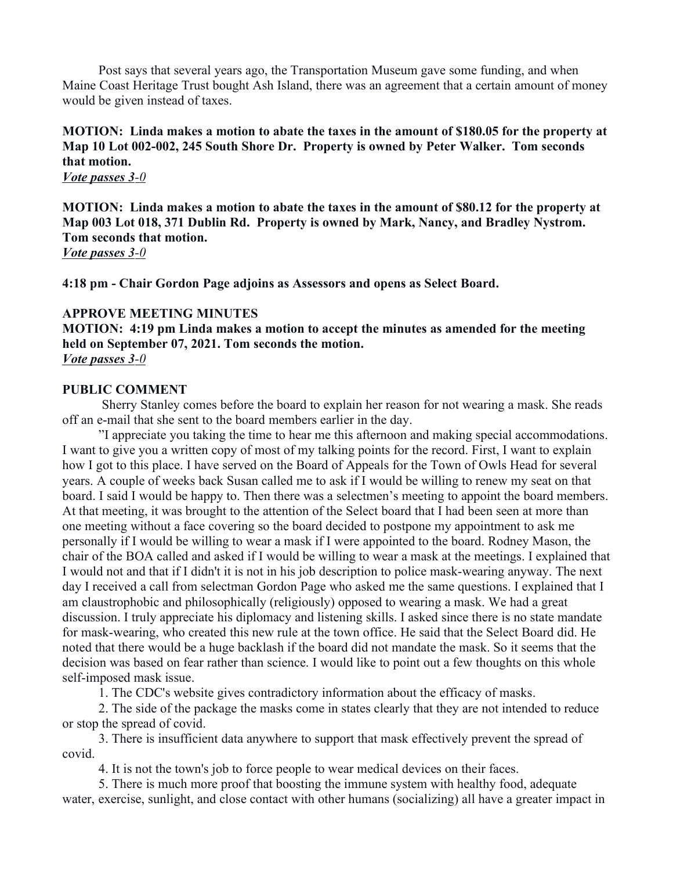Post says that several years ago, the Transportation Museum gave some funding, and when Maine Coast Heritage Trust bought Ash Island, there was an agreement that a certain amount of money would be given instead of taxes.

# MOTION: Linda makes a motion to abate the taxes in the amount of \$180.05 for the property at Map 10 Lot 002-002, 245 South Shore Dr. Property is owned by Peter Walker. Tom seconds that motion.

*Vote passes*  $3-0$ 

MOTION: Linda makes a motion to abate the taxes in the amount of \$80.12 for the property at Map 003 Lot 018, 371 Dublin Rd. Property is owned by Mark, Nancy, and Bradley Nystrom. Tom seconds that motion. Vote passes 3-0

4:18 pm - Chair Gordon Page adjoins as Assessors and opens as Select Board.

#### APPROVE MEETING MINUTES

MOTION: 4:19 pm Linda makes a motion to accept the minutes as amended for the meeting held on September 07, 2021. Tom seconds the motion. Vote passes 3-0

#### PUBLIC COMMENT

Sherry Stanley comes before the board to explain her reason for not wearing a mask. She reads off an e-mail that she sent to the board members earlier in the day.

 "I appreciate you taking the time to hear me this afternoon and making special accommodations. I want to give you a written copy of most of my talking points for the record. First, I want to explain how I got to this place. I have served on the Board of Appeals for the Town of Owls Head for several years. A couple of weeks back Susan called me to ask if I would be willing to renew my seat on that board. I said I would be happy to. Then there was a selectmen's meeting to appoint the board members. At that meeting, it was brought to the attention of the Select board that I had been seen at more than one meeting without a face covering so the board decided to postpone my appointment to ask me personally if I would be willing to wear a mask if I were appointed to the board. Rodney Mason, the chair of the BOA called and asked if I would be willing to wear a mask at the meetings. I explained that I would not and that if I didn't it is not in his job description to police mask-wearing anyway. The next day I received a call from selectman Gordon Page who asked me the same questions. I explained that I am claustrophobic and philosophically (religiously) opposed to wearing a mask. We had a great discussion. I truly appreciate his diplomacy and listening skills. I asked since there is no state mandate for mask-wearing, who created this new rule at the town office. He said that the Select Board did. He noted that there would be a huge backlash if the board did not mandate the mask. So it seems that the decision was based on fear rather than science. I would like to point out a few thoughts on this whole self-imposed mask issue.

1. The CDC's website gives contradictory information about the efficacy of masks.

 2. The side of the package the masks come in states clearly that they are not intended to reduce or stop the spread of covid.

 3. There is insufficient data anywhere to support that mask effectively prevent the spread of covid.

4. It is not the town's job to force people to wear medical devices on their faces.

 5. There is much more proof that boosting the immune system with healthy food, adequate water, exercise, sunlight, and close contact with other humans (socializing) all have a greater impact in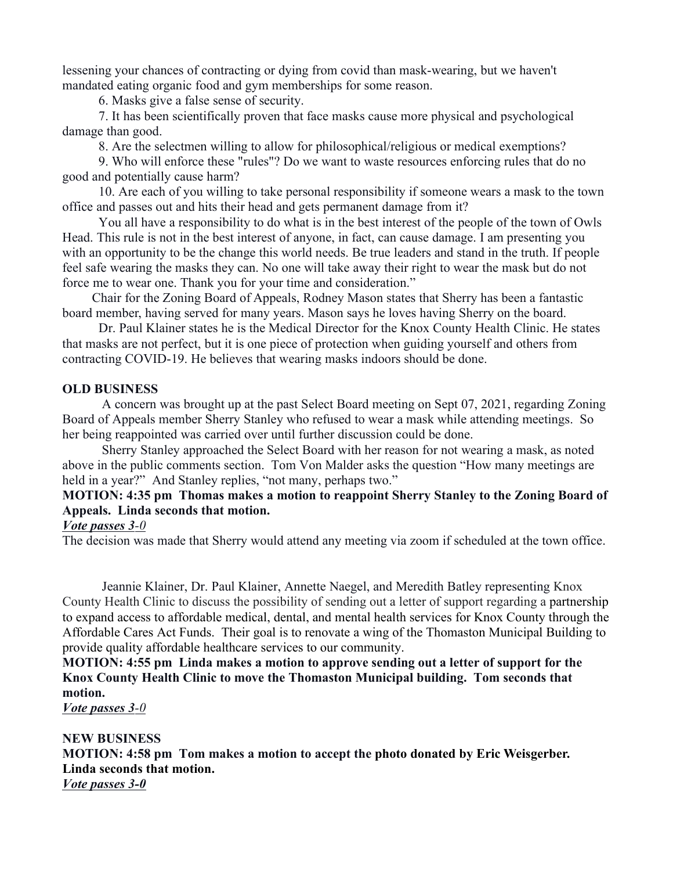lessening your chances of contracting or dying from covid than mask-wearing, but we haven't mandated eating organic food and gym memberships for some reason.

6. Masks give a false sense of security.

 7. It has been scientifically proven that face masks cause more physical and psychological damage than good.

8. Are the selectmen willing to allow for philosophical/religious or medical exemptions?

 9. Who will enforce these "rules"? Do we want to waste resources enforcing rules that do no good and potentially cause harm?

 10. Are each of you willing to take personal responsibility if someone wears a mask to the town office and passes out and hits their head and gets permanent damage from it?

 You all have a responsibility to do what is in the best interest of the people of the town of Owls Head. This rule is not in the best interest of anyone, in fact, can cause damage. I am presenting you with an opportunity to be the change this world needs. Be true leaders and stand in the truth. If people feel safe wearing the masks they can. No one will take away their right to wear the mask but do not force me to wear one. Thank you for your time and consideration."

 Chair for the Zoning Board of Appeals, Rodney Mason states that Sherry has been a fantastic board member, having served for many years. Mason says he loves having Sherry on the board.

 Dr. Paul Klainer states he is the Medical Director for the Knox County Health Clinic. He states that masks are not perfect, but it is one piece of protection when guiding yourself and others from contracting COVID-19. He believes that wearing masks indoors should be done.

#### OLD BUSINESS

A concern was brought up at the past Select Board meeting on Sept 07, 2021, regarding Zoning Board of Appeals member Sherry Stanley who refused to wear a mask while attending meetings. So her being reappointed was carried over until further discussion could be done.

Sherry Stanley approached the Select Board with her reason for not wearing a mask, as noted above in the public comments section. Tom Von Malder asks the question "How many meetings are held in a year?" And Stanley replies, "not many, perhaps two."

# MOTION: 4:35 pm Thomas makes a motion to reappoint Sherry Stanley to the Zoning Board of Appeals. Linda seconds that motion.

#### Vote passes 3-0

The decision was made that Sherry would attend any meeting via zoom if scheduled at the town office.

Jeannie Klainer, Dr. Paul Klainer, Annette Naegel, and Meredith Batley representing Knox County Health Clinic to discuss the possibility of sending out a letter of support regarding a partnership to expand access to affordable medical, dental, and mental health services for Knox County through the Affordable Cares Act Funds. Their goal is to renovate a wing of the Thomaston Municipal Building to provide quality affordable healthcare services to our community.

MOTION: 4:55 pm Linda makes a motion to approve sending out a letter of support for the Knox County Health Clinic to move the Thomaston Municipal building. Tom seconds that motion.

Vote passes 3-0

NEW BUSINESS

MOTION: 4:58 pm Tom makes a motion to accept the photo donated by Eric Weisgerber. Linda seconds that motion.

Vote passes 3-0